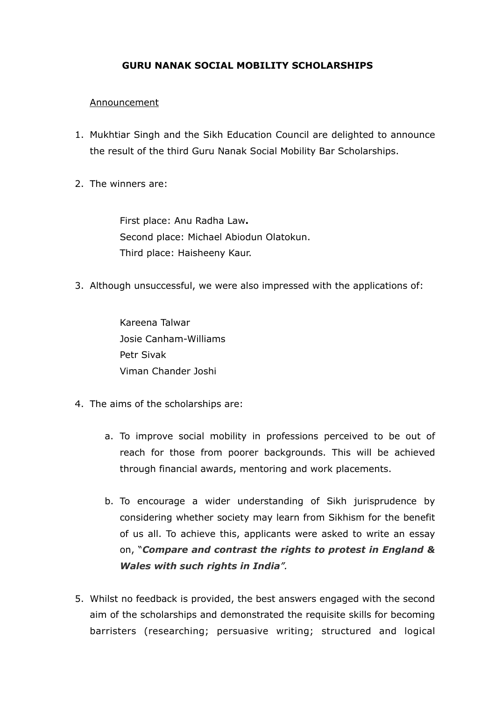## **GURU NANAK SOCIAL MOBILITY SCHOLARSHIPS**

## **Announcement**

- 1. Mukhtiar Singh and the Sikh Education Council are delighted to announce the result of the third Guru Nanak Social Mobility Bar Scholarships.
- 2. The winners are:

First place: Anu Radha Law**.** Second place: Michael Abiodun Olatokun. Third place: Haisheeny Kaur.

3. Although unsuccessful, we were also impressed with the applications of:

Kareena Talwar Josie Canham-Williams Petr Sivak Viman Chander Joshi

- 4. The aims of the scholarships are:
	- a. To improve social mobility in professions perceived to be out of reach for those from poorer backgrounds. This will be achieved through financial awards, mentoring and work placements.
	- b. To encourage a wider understanding of Sikh jurisprudence by considering whether society may learn from Sikhism for the benefit of us all. To achieve this, applicants were asked to write an essay on, "*Compare and contrast the rights to protest in England & Wales with such rights in India".*
- 5. Whilst no feedback is provided, the best answers engaged with the second aim of the scholarships and demonstrated the requisite skills for becoming barristers (researching; persuasive writing; structured and logical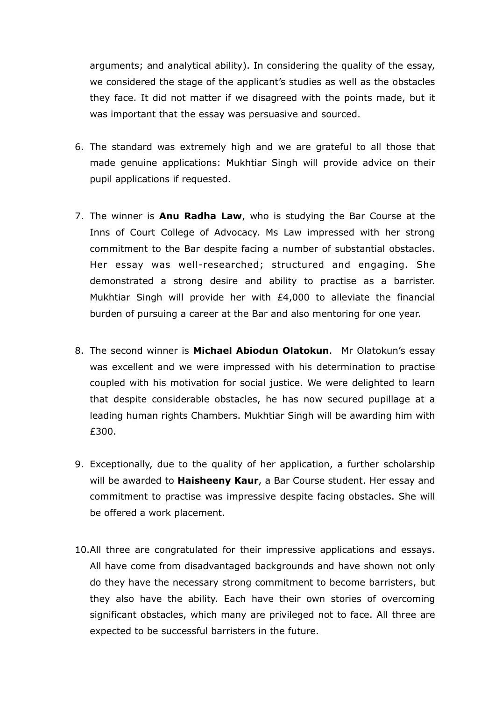arguments; and analytical ability). In considering the quality of the essay, we considered the stage of the applicant's studies as well as the obstacles they face. It did not matter if we disagreed with the points made, but it was important that the essay was persuasive and sourced.

- 6. The standard was extremely high and we are grateful to all those that made genuine applications: Mukhtiar Singh will provide advice on their pupil applications if requested.
- 7. The winner is **Anu Radha Law**, who is studying the Bar Course at the Inns of Court College of Advocacy. Ms Law impressed with her strong commitment to the Bar despite facing a number of substantial obstacles. Her essay was well-researched; structured and engaging. She demonstrated a strong desire and ability to practise as a barrister. Mukhtiar Singh will provide her with £4,000 to alleviate the financial burden of pursuing a career at the Bar and also mentoring for one year.
- 8. The second winner is **Michael Abiodun Olatokun**. Mr Olatokun's essay was excellent and we were impressed with his determination to practise coupled with his motivation for social justice. We were delighted to learn that despite considerable obstacles, he has now secured pupillage at a leading human rights Chambers. Mukhtiar Singh will be awarding him with £300.
- 9. Exceptionally, due to the quality of her application, a further scholarship will be awarded to **Haisheeny Kaur**, a Bar Course student. Her essay and commitment to practise was impressive despite facing obstacles. She will be offered a work placement.
- 10.All three are congratulated for their impressive applications and essays. All have come from disadvantaged backgrounds and have shown not only do they have the necessary strong commitment to become barristers, but they also have the ability. Each have their own stories of overcoming significant obstacles, which many are privileged not to face. All three are expected to be successful barristers in the future.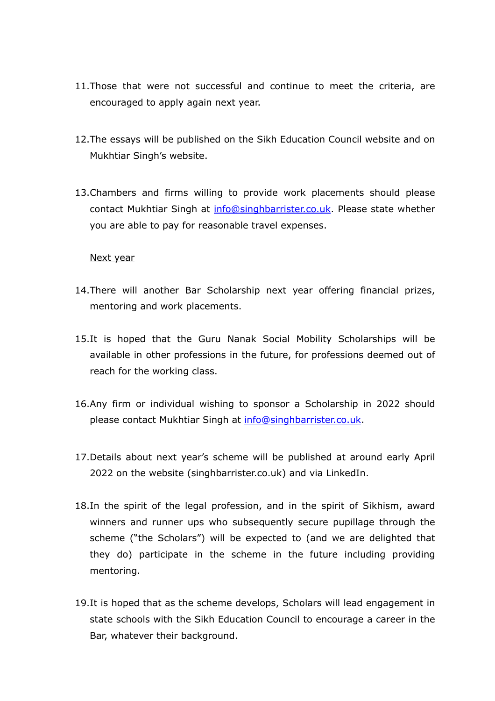- 11.Those that were not successful and continue to meet the criteria, are encouraged to apply again next year.
- 12.The essays will be published on the Sikh Education Council website and on Mukhtiar Singh's website.
- 13.Chambers and firms willing to provide work placements should please contact Mukhtiar Singh at [info@singhbarrister.co.uk.](mailto:info@singhbarrister.co.uk) Please state whether you are able to pay for reasonable travel expenses.

## Next year

- 14.There will another Bar Scholarship next year offering financial prizes, mentoring and work placements.
- 15.It is hoped that the Guru Nanak Social Mobility Scholarships will be available in other professions in the future, for professions deemed out of reach for the working class.
- 16.Any firm or individual wishing to sponsor a Scholarship in 2022 should please contact Mukhtiar Singh at [info@singhbarrister.co.uk](mailto:info@singhbarrister.co.uk).
- 17.Details about next year's scheme will be published at around early April 2022 on the website (singhbarrister.co.uk) and via LinkedIn.
- 18.In the spirit of the legal profession, and in the spirit of Sikhism, award winners and runner ups who subsequently secure pupillage through the scheme ("the Scholars") will be expected to (and we are delighted that they do) participate in the scheme in the future including providing mentoring.
- 19.It is hoped that as the scheme develops, Scholars will lead engagement in state schools with the Sikh Education Council to encourage a career in the Bar, whatever their background.